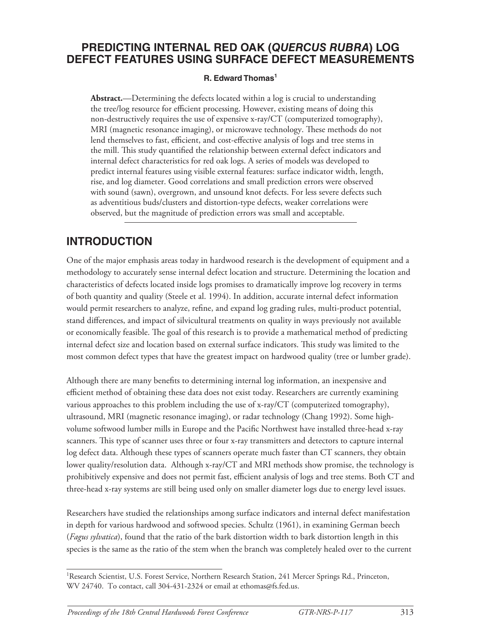#### **PREDICTING INTERNAL RED OAK (***QUERCUS RUBRA***) LOG DEFECT FEATURES USING SURFACE DEFECT MEASUREMENTS**

#### **R. Edward Thomas<sup>1</sup>**

**Abstract.**—Determining the defects located within a log is crucial to understanding the tree/log resource for efficient processing. However, existing means of doing this non-destructively requires the use of expensive x-ray/CT (computerized tomography), MRI (magnetic resonance imaging), or microwave technology. These methods do not lend themselves to fast, efficient, and cost-effective analysis of logs and tree stems in the mill. This study quantified the relationship between external defect indicators and internal defect characteristics for red oak logs. A series of models was developed to predict internal features using visible external features: surface indicator width, length, rise, and log diameter. Good correlations and small prediction errors were observed with sound (sawn), overgrown, and unsound knot defects. For less severe defects such as adventitious buds/clusters and distortion-type defects, weaker correlations were observed, but the magnitude of prediction errors was small and acceptable.

#### **INTRODUCTION**

One of the major emphasis areas today in hardwood research is the development of equipment and a methodology to accurately sense internal defect location and structure. Determining the location and characteristics of defects located inside logs promises to dramatically improve log recovery in terms of both quantity and quality (Steele et al. 1994). In addition, accurate internal defect information would permit researchers to analyze, refine, and expand log grading rules, multi-product potential, stand differences, and impact of silvicultural treatments on quality in ways previously not available or economically feasible. The goal of this research is to provide a mathematical method of predicting internal defect size and location based on external surface indicators. This study was limited to the most common defect types that have the greatest impact on hardwood quality (tree or lumber grade).

Although there are many benefits to determining internal log information, an inexpensive and efficient method of obtaining these data does not exist today. Researchers are currently examining various approaches to this problem including the use of x-ray/CT (computerized tomography), ultrasound, MRI (magnetic resonance imaging), or radar technology (Chang 1992). Some highvolume softwood lumber mills in Europe and the Pacifi c Northwest have installed three-head x-ray scanners. This type of scanner uses three or four x-ray transmitters and detectors to capture internal log defect data. Although these types of scanners operate much faster than CT scanners, they obtain lower quality/resolution data. Although x-ray/CT and MRI methods show promise, the technology is prohibitively expensive and does not permit fast, efficient analysis of logs and tree stems. Both CT and three-head x-ray systems are still being used only on smaller diameter logs due to energy level issues.

Researchers have studied the relationships among surface indicators and internal defect manifestation in depth for various hardwood and softwood species. Schultz (1961), in examining German beech (*Fagus sylvatica*), found that the ratio of the bark distortion width to bark distortion length in this species is the same as the ratio of the stem when the branch was completely healed over to the current

<sup>&</sup>lt;sup>1</sup> Research Scientist, U.S. Forest Service, Northern Research Station, 241 Mercer Springs Rd., Princeton, WV 24740. To contact, call 304-431-2324 or email at ethomas@fs.fed.us.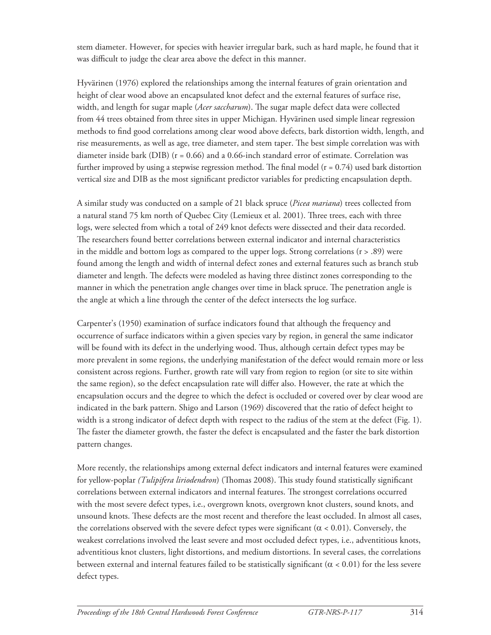stem diameter. However, for species with heavier irregular bark, such as hard maple, he found that it was difficult to judge the clear area above the defect in this manner.

Hyvärinen (1976) explored the relationships among the internal features of grain orientation and height of clear wood above an encapsulated knot defect and the external features of surface rise, width, and length for sugar maple (*Acer saccharum*). The sugar maple defect data were collected from 44 trees obtained from three sites in upper Michigan. Hyvärinen used simple linear regression methods to find good correlations among clear wood above defects, bark distortion width, length, and rise measurements, as well as age, tree diameter, and stem taper. The best simple correlation was with diameter inside bark (DIB) (r = 0.66) and a 0.66-inch standard error of estimate. Correlation was further improved by using a stepwise regression method. The final model  $(r = 0.74)$  used bark distortion vertical size and DIB as the most significant predictor variables for predicting encapsulation depth.

A similar study was conducted on a sample of 21 black spruce (*Picea mariana*) trees collected from a natural stand 75 km north of Quebec City (Lemieux et al. 2001). Three trees, each with three logs, were selected from which a total of 249 knot defects were dissected and their data recorded. The researchers found better correlations between external indicator and internal characteristics in the middle and bottom logs as compared to the upper logs. Strong correlations  $(r > .89)$  were found among the length and width of internal defect zones and external features such as branch stub diameter and length. The defects were modeled as having three distinct zones corresponding to the manner in which the penetration angle changes over time in black spruce. The penetration angle is the angle at which a line through the center of the defect intersects the log surface.

Carpenter's (1950) examination of surface indicators found that although the frequency and occurrence of surface indicators within a given species vary by region, in general the same indicator will be found with its defect in the underlying wood. Thus, although certain defect types may be more prevalent in some regions, the underlying manifestation of the defect would remain more or less consistent across regions. Further, growth rate will vary from region to region (or site to site within the same region), so the defect encapsulation rate will differ also. However, the rate at which the encapsulation occurs and the degree to which the defect is occluded or covered over by clear wood are indicated in the bark pattern. Shigo and Larson (1969) discovered that the ratio of defect height to width is a strong indicator of defect depth with respect to the radius of the stem at the defect (Fig. 1). The faster the diameter growth, the faster the defect is encapsulated and the faster the bark distortion pattern changes.

More recently, the relationships among external defect indicators and internal features were examined for yellow-poplar *(Tulipifera liriodendron*) (Thomas 2008). This study found statistically significant correlations between external indicators and internal features. The strongest correlations occurred with the most severe defect types, i.e., overgrown knots, overgrown knot clusters, sound knots, and unsound knots. These defects are the most recent and therefore the least occluded. In almost all cases, the correlations observed with the severe defect types were significant ( $\alpha$  < 0.01). Conversely, the weakest correlations involved the least severe and most occluded defect types, i.e., adventitious knots, adventitious knot clusters, light distortions, and medium distortions. In several cases, the correlations between external and internal features failed to be statistically significant ( $\alpha$  < 0.01) for the less severe defect types.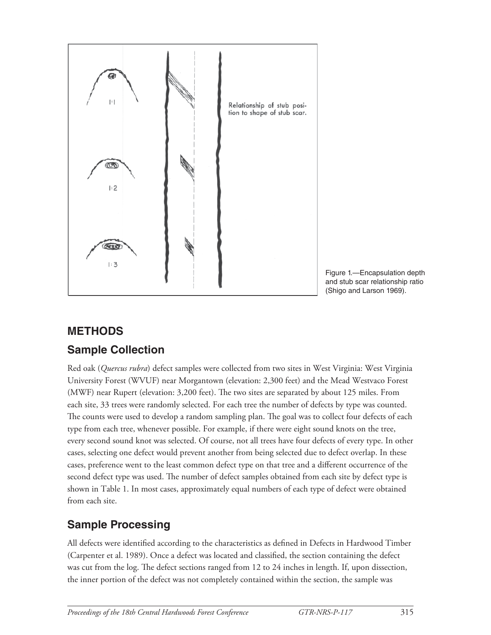

Figure 1.—Encapsulation depth and stub scar relationship ratio (Shigo and Larson 1969).

#### **METHODS**

## **Sample Collection**

Red oak (*Quercus rubra*) defect samples were collected from two sites in West Virginia: West Virginia University Forest (WVUF) near Morgantown (elevation: 2,300 feet) and the Mead Westvaco Forest (MWF) near Rupert (elevation: 3,200 feet). The two sites are separated by about 125 miles. From each site, 33 trees were randomly selected. For each tree the number of defects by type was counted. The counts were used to develop a random sampling plan. The goal was to collect four defects of each type from each tree, whenever possible. For example, if there were eight sound knots on the tree, every second sound knot was selected. Of course, not all trees have four defects of every type. In other cases, selecting one defect would prevent another from being selected due to defect overlap. In these cases, preference went to the least common defect type on that tree and a different occurrence of the second defect type was used. The number of defect samples obtained from each site by defect type is shown in Table 1. In most cases, approximately equal numbers of each type of defect were obtained from each site.

## **Sample Processing**

All defects were identified according to the characteristics as defined in Defects in Hardwood Timber (Carpenter et al. 1989). Once a defect was located and classified, the section containing the defect was cut from the log. The defect sections ranged from 12 to 24 inches in length. If, upon dissection, the inner portion of the defect was not completely contained within the section, the sample was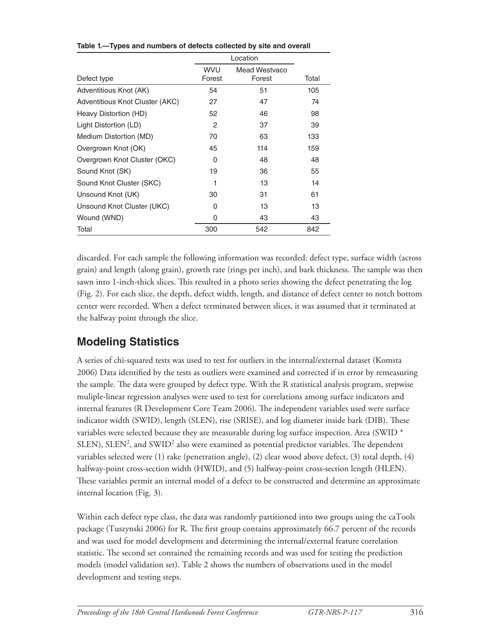| Defect type                     | <b>WVU</b><br>Forest | Mead Westvaco<br>Forest | Total |
|---------------------------------|----------------------|-------------------------|-------|
| Adventitious Knot (AK)          | 54                   | 51                      | 105   |
| Adventitious Knot Cluster (AKC) | 27                   | 47                      | 74    |
| Heavy Distortion (HD)           | 52                   | 46                      | 98    |
| Light Distortion (LD)           | 2                    | 37                      | 39    |
| Medium Distortion (MD)          | 70                   | 63                      | 133   |
| Overgrown Knot (OK)             | 45                   | 114                     | 159   |
| Overgrown Knot Cluster (OKC)    | 0                    | 48                      | 48    |
| Sound Knot (SK)                 | 19                   | 36                      | 55    |
| Sound Knot Cluster (SKC)        |                      | 13                      | 14    |
| Unsound Knot (UK)               | 30                   | 31                      | 61    |
| Unsound Knot Cluster (UKC)      | O                    | 13                      | 13    |
| Wound (WND)                     | 0                    | 43                      | 43    |
| Total                           | 300                  | 542                     | 842   |

**Table 1.—Types and numbers of defects collected by site and overall**

discarded. For each sample the following information was recorded: defect type, surface width (across grain) and length (along grain), growth rate (rings per inch), and bark thickness. The sample was then sawn into 1-inch-thick slices. This resulted in a photo series showing the defect penetrating the log (Fig. 2). For each slice, the depth, defect width, length, and distance of defect center to notch bottom center were recorded. When a defect terminated between slices, it was assumed that it terminated at the halfway point through the slice.

## **Modeling Statistics**

A series of chi-squared tests was used to test for outliers in the internal/external dataset (Komsta 2006) Data identified by the tests as outliers were examined and corrected if in error by remeasuring the sample. The data were grouped by defect type. With the R statistical analysis program, stepwise muliple-linear regression analyses were used to test for correlations among surface indicators and internal features (R Development Core Team 2006). The independent variables used were surface indicator width (SWID), length (SLEN), rise (SRISE), and log diameter inside bark (DIB). These variables were selected because they are measurable during log surface inspection. Area (SWID \* SLEN), SLEN<sup>2</sup>, and SWID<sup>2</sup> also were examined as potential predictor variables. The dependent variables selected were (1) rake (penetration angle), (2) clear wood above defect, (3) total depth, (4) halfway-point cross-section width (HWID), and (5) halfway-point cross-section length (HLEN). These variables permit an internal model of a defect to be constructed and determine an approximate internal location (Fig. 3).

Within each defect type class, the data was randomly partitioned into two groups using the caTools package (Tuszynski 2006) for R. The first group contains approximately 66.7 percent of the records and was used for model development and determining the internal/external feature correlation statistic. The second set contained the remaining records and was used for testing the prediction models (model validation set). Table 2 shows the numbers of observations used in the model development and testing steps.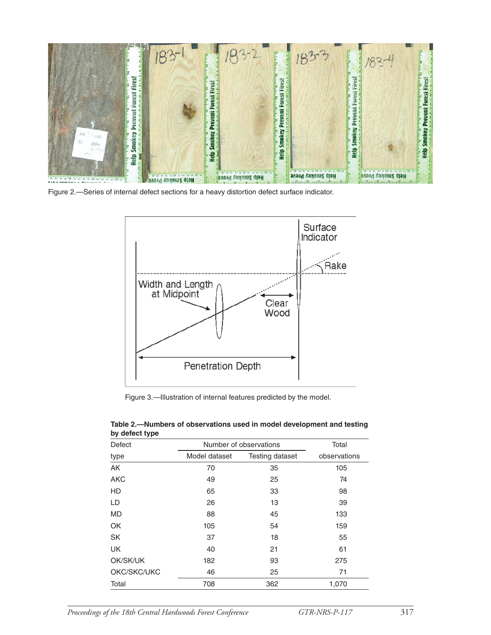

Figure 2.—Series of internal defect sections for a heavy distortion defect surface indicator.



Figure 3.—Illustration of internal features predicted by the model.

| <b>Defect</b> |               | Number of observations |              |  |  |
|---------------|---------------|------------------------|--------------|--|--|
| type          | Model dataset | Testing dataset        | observations |  |  |
| AK            | 70            | 35                     | 105          |  |  |
| <b>AKC</b>    | 49            | 25                     | 74           |  |  |
| <b>HD</b>     | 65            | 33                     | 98           |  |  |
| LD            | 26            | 13                     | 39           |  |  |
| <b>MD</b>     | 88            | 45                     | 133          |  |  |
| <b>OK</b>     | 105           | 54                     | 159          |  |  |
| <b>SK</b>     | 37            | 18                     | 55           |  |  |
| <b>UK</b>     | 40            | 21                     | 61           |  |  |
| OK/SK/UK      | 182           | 93                     | 275          |  |  |
| OKC/SKC/UKC   | 46            | 25                     | 71           |  |  |
| Total         | 708           | 362                    | 1,070        |  |  |

**Table 2.—Numbers of observations used in model development and testing by defect type**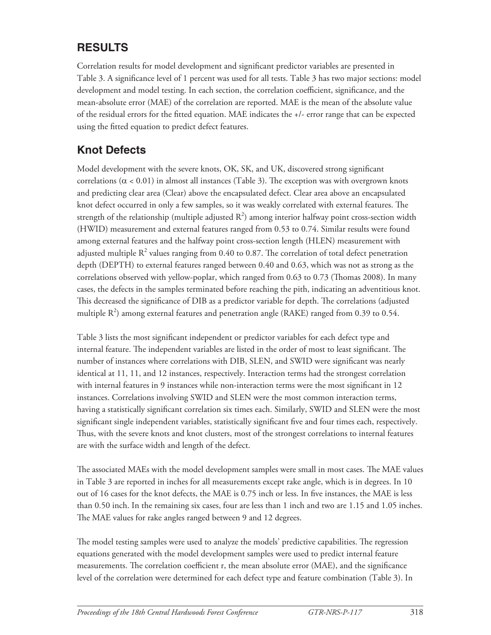## **RESULTS**

Correlation results for model development and significant predictor variables are presented in Table 3. A significance level of 1 percent was used for all tests. Table 3 has two major sections: model development and model testing. In each section, the correlation coefficient, significance, and the mean-absolute error (MAE) of the correlation are reported. MAE is the mean of the absolute value of the residual errors for the fitted equation. MAE indicates the +/- error range that can be expected using the fitted equation to predict defect features.

#### **Knot Defects**

Model development with the severe knots, OK, SK, and UK, discovered strong significant correlations ( $\alpha$  < 0.01) in almost all instances (Table 3). The exception was with overgrown knots and predicting clear area (Clear) above the encapsulated defect. Clear area above an encapsulated knot defect occurred in only a few samples, so it was weakly correlated with external features. The strength of the relationship (multiple adjusted  $R^2$ ) among interior halfway point cross-section width (HWID) measurement and external features ranged from 0.53 to 0.74. Similar results were found among external features and the halfway point cross-section length (HLEN) measurement with adjusted multiple  $R^2$  values ranging from 0.40 to 0.87. The correlation of total defect penetration depth (DEPTH) to external features ranged between 0.40 and 0.63, which was not as strong as the correlations observed with yellow-poplar, which ranged from 0.63 to 0.73 (Thomas 2008). In many cases, the defects in the samples terminated before reaching the pith, indicating an adventitious knot. This decreased the significance of DIB as a predictor variable for depth. The correlations (adjusted multiple  $R^2$ ) among external features and penetration angle (RAKE) ranged from 0.39 to 0.54.

Table 3 lists the most significant independent or predictor variables for each defect type and internal feature. The independent variables are listed in the order of most to least significant. The number of instances where correlations with DIB, SLEN, and SWID were significant was nearly identical at 11, 11, and 12 instances, respectively. Interaction terms had the strongest correlation with internal features in 9 instances while non-interaction terms were the most significant in 12 instances. Correlations involving SWID and SLEN were the most common interaction terms, having a statistically significant correlation six times each. Similarly, SWID and SLEN were the most significant single independent variables, statistically significant five and four times each, respectively. Thus, with the severe knots and knot clusters, most of the strongest correlations to internal features are with the surface width and length of the defect.

The associated MAEs with the model development samples were small in most cases. The MAE values in Table 3 are reported in inches for all measurements except rake angle, which is in degrees. In 10 out of 16 cases for the knot defects, the MAE is 0.75 inch or less. In five instances, the MAE is less than 0.50 inch. In the remaining six cases, four are less than 1 inch and two are 1.15 and 1.05 inches. The MAE values for rake angles ranged between 9 and 12 degrees.

The model testing samples were used to analyze the models' predictive capabilities. The regression equations generated with the model development samples were used to predict internal feature measurements. The correlation coefficient r, the mean absolute error (MAE), and the significance level of the correlation were determined for each defect type and feature combination (Table 3). In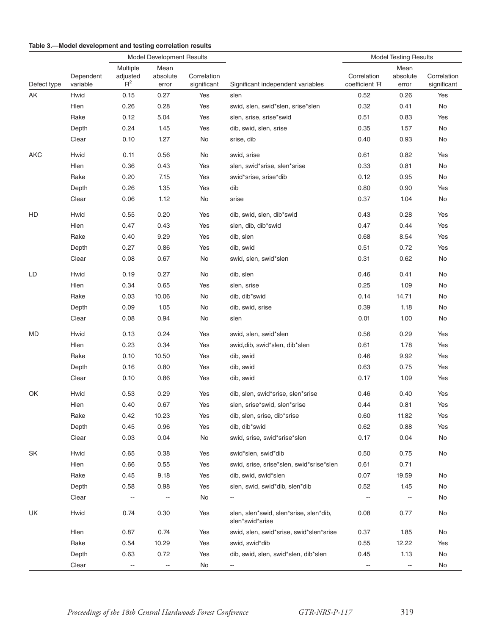#### **Table 3.—Model development and testing correlation results**

|             |                       | Model Development Results     |                           |                            |                                                           | <b>Model Testing Results</b>   |                           |                            |
|-------------|-----------------------|-------------------------------|---------------------------|----------------------------|-----------------------------------------------------------|--------------------------------|---------------------------|----------------------------|
| Defect type | Dependent<br>variable | Multiple<br>adjusted<br>$R^2$ | Mean<br>absolute<br>error | Correlation<br>significant | Significant independent variables                         | Correlation<br>coefficient 'R' | Mean<br>absolute<br>error | Correlation<br>significant |
| AK          | Hwid                  | 0.15                          | 0.27                      | Yes                        | slen                                                      | 0.52                           | 0.26                      | Yes                        |
|             | Hlen                  | 0.26                          | 0.28                      | Yes                        | swid, slen, swid*slen, srise*slen                         | 0.32                           | 0.41                      | No                         |
|             | Rake                  | 0.12                          | 5.04                      | Yes                        | slen, srise, srise*swid                                   | 0.51                           | 0.83                      | Yes                        |
|             | Depth                 | 0.24                          | 1.45                      | Yes                        | dib, swid, slen, srise                                    | 0.35                           | 1.57                      | No                         |
| Clear       |                       | 0.10                          | 1.27                      | No                         | srise, dib                                                | 0.40                           | 0.93                      | No                         |
| AKC         | Hwid                  | 0.11                          | 0.56                      | No                         | swid, srise                                               | 0.61                           | 0.82                      | Yes                        |
|             | Hlen                  | 0.36                          | 0.43                      | Yes                        | slen, swid*srise, slen*srise                              | 0.33                           | 0.81                      | No                         |
|             | Rake                  | 0.20                          | 7.15                      | Yes                        | swid*srise, srise*dib                                     | 0.12                           | 0.95                      | No                         |
|             | Depth                 | 0.26                          | 1.35                      | Yes                        | dib                                                       | 0.80                           | 0.90                      | Yes                        |
|             | Clear                 | 0.06                          | 1.12                      | No                         | srise                                                     | 0.37                           | 1.04                      | No                         |
| HD          | Hwid                  | 0.55                          | 0.20                      | Yes                        | dib, swid, slen, dib*swid                                 | 0.43                           | 0.28                      | Yes                        |
|             | Hlen                  | 0.47                          | 0.43                      | Yes                        | slen, dib, dib*swid                                       | 0.47                           | 0.44                      | Yes                        |
|             | Rake                  | 0.40                          | 9.29                      | Yes                        | dib, slen                                                 | 0.68                           | 8.54                      | Yes                        |
|             | Depth                 | 0.27                          | 0.86                      | Yes                        | dib, swid                                                 | 0.51                           | 0.72                      | Yes                        |
|             | Clear                 | 0.08                          | 0.67                      | No                         | swid, slen, swid*slen                                     | 0.31                           | 0.62                      | No                         |
| LD          | Hwid                  | 0.19                          | 0.27                      | No                         | dib, slen                                                 | 0.46                           | 0.41                      | No                         |
|             | Hlen                  | 0.34                          | 0.65                      | Yes                        | slen, srise                                               | 0.25                           | 1.09                      | No                         |
|             | Rake                  | 0.03                          | 10.06                     | No                         | dib, dib*swid                                             | 0.14                           | 14.71                     | No                         |
|             | Depth                 | 0.09                          | 1.05                      | No                         | dib, swid, srise                                          | 0.39                           | 1.18                      | No                         |
|             | Clear                 | 0.08                          | 0.94                      | No                         | slen                                                      | 0.01                           | 1.00                      | No                         |
| MD          | Hwid                  | 0.13                          | 0.24                      | Yes                        | swid, slen, swid*slen                                     | 0.56                           | 0.29                      | Yes                        |
|             | Hlen                  | 0.23                          | 0.34                      | Yes                        | swid, dib, swid*slen, dib*slen                            | 0.61                           | 1.78                      | Yes                        |
|             | Rake                  | 0.10                          | 10.50                     | Yes                        | dib, swid                                                 | 0.46                           | 9.92                      | Yes                        |
|             | Depth                 | 0.16                          | 0.80                      | Yes                        | dib, swid                                                 | 0.63                           | 0.75                      | Yes                        |
|             | Clear                 | 0.10                          | 0.86                      | Yes                        | dib, swid                                                 | 0.17                           | 1.09                      | Yes                        |
| OK          | Hwid                  | 0.53                          | 0.29                      | Yes                        | dib, slen, swid*srise, slen*srise                         | 0.46                           | 0.40                      | Yes                        |
|             | Hlen                  | 0.40                          | 0.67                      | Yes                        | slen, srise*swid, slen*srise                              | 0.44                           | 0.81                      | Yes                        |
|             | Rake                  | 0.42                          | 10.23                     | Yes                        | dib, slen, srise, dib*srise                               | 0.60                           | 11.82                     | Yes                        |
|             | Depth                 | 0.45                          | 0.96                      | Yes                        | dib, dib*swid                                             | 0.62                           | 0.88                      | Yes                        |
|             | Clear                 | 0.03                          | 0.04                      | No                         | swid, srise, swid*srise*slen                              | 0.17                           | 0.04                      | No                         |
| SK          | Hwid                  | 0.65                          | 0.38                      | Yes                        | swid*slen, swid*dib                                       | 0.50                           | 0.75                      | No                         |
|             | Hlen                  | 0.66                          | 0.55                      | Yes                        | swid, srise, srise*slen, swid*srise*slen                  | 0.61                           | 0.71                      |                            |
|             | Rake                  | 0.45                          | 9.18                      | Yes                        | dib, swid, swid*slen                                      | 0.07                           | 19.59                     | No                         |
|             | Depth                 | 0.58                          | 0.98                      | Yes                        | slen, swid, swid*dib, slen*dib                            | 0.52                           | 1.45                      | No                         |
|             | Clear                 | ÷-                            | $\overline{\phantom{a}}$  | No                         |                                                           | $\overline{\phantom{a}}$       |                           | No                         |
| UK          | Hwid                  | 0.74                          | 0.30                      | Yes                        | slen, slen*swid, slen*srise, slen*dib,<br>slen*swid*srise | 0.08                           | 0.77                      | No                         |
|             | Hlen                  | 0.87                          | 0.74                      | Yes                        | swid, slen, swid*srise, swid*slen*srise                   | 0.37                           | 1.85                      | No                         |
|             | Rake                  | 0.54                          | 10.29                     | Yes                        | swid, swid*dib                                            | 0.55                           | 12.22                     | Yes                        |
|             | Depth                 | 0.63                          | 0.72                      | Yes                        | dib, swid, slen, swid*slen, dib*slen                      | 0.45                           | 1.13                      | No                         |
|             | Clear                 | --                            | --                        | No                         | --                                                        |                                | --                        | No                         |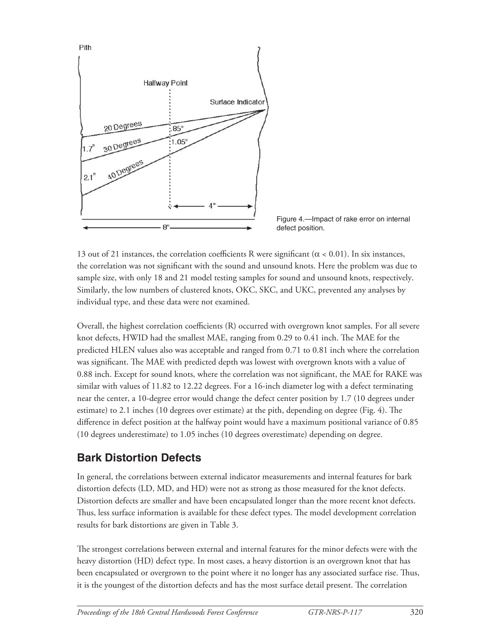

Figure 4.—Impact of rake error on internal defect position.

13 out of 21 instances, the correlation coefficients R were significant ( $\alpha$  < 0.01). In six instances, the correlation was not significant with the sound and unsound knots. Here the problem was due to sample size, with only 18 and 21 model testing samples for sound and unsound knots, respectively. Similarly, the low numbers of clustered knots, OKC, SKC, and UKC, prevented any analyses by individual type, and these data were not examined.

Overall, the highest correlation coefficients (R) occurred with overgrown knot samples. For all severe knot defects, HWID had the smallest MAE, ranging from 0.29 to 0.41 inch. The MAE for the predicted HLEN values also was acceptable and ranged from 0.71 to 0.81 inch where the correlation was significant. The MAE with predicted depth was lowest with overgrown knots with a value of 0.88 inch. Except for sound knots, where the correlation was not significant, the MAE for RAKE was similar with values of 11.82 to 12.22 degrees. For a 16-inch diameter log with a defect terminating near the center, a 10-degree error would change the defect center position by 1.7 (10 degrees under estimate) to 2.1 inches (10 degrees over estimate) at the pith, depending on degree (Fig. 4). The difference in defect position at the halfway point would have a maximum positional variance of 0.85 (10 degrees underestimate) to 1.05 inches (10 degrees overestimate) depending on degree.

## **Bark Distortion Defects**

In general, the correlations between external indicator measurements and internal features for bark distortion defects (LD, MD, and HD) were not as strong as those measured for the knot defects. Distortion defects are smaller and have been encapsulated longer than the more recent knot defects. Thus, less surface information is available for these defect types. The model development correlation results for bark distortions are given in Table 3.

The strongest correlations between external and internal features for the minor defects were with the heavy distortion (HD) defect type. In most cases, a heavy distortion is an overgrown knot that has been encapsulated or overgrown to the point where it no longer has any associated surface rise. Thus, it is the youngest of the distortion defects and has the most surface detail present. The correlation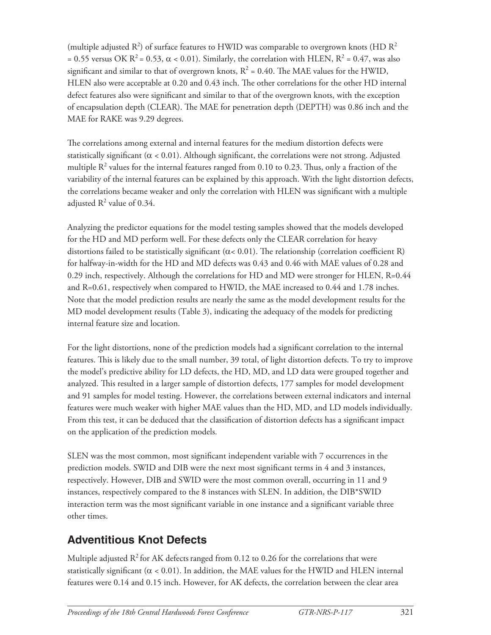(multiple adjusted  $R^2$ ) of surface features to HWID was comparable to overgrown knots (HD  $R^2$ = 0.55 versus OK R<sup>2</sup> = 0.53,  $\alpha$  < 0.01). Similarly, the correlation with HLEN, R<sup>2</sup> = 0.47, was also significant and similar to that of overgrown knots,  $R^2 = 0.40$ . The MAE values for the HWID, HLEN also were acceptable at 0.20 and 0.43 inch. The other correlations for the other HD internal defect features also were significant and similar to that of the overgrown knots, with the exception of encapsulation depth (CLEAR). The MAE for penetration depth (DEPTH) was 0.86 inch and the MAE for RAKE was 9.29 degrees.

The correlations among external and internal features for the medium distortion defects were statistically significant ( $\alpha$  < 0.01). Although significant, the correlations were not strong. Adjusted multiple  $R^2$  values for the internal features ranged from 0.10 to 0.23. Thus, only a fraction of the variability of the internal features can be explained by this approach. With the light distortion defects, the correlations became weaker and only the correlation with HLEN was significant with a multiple adjusted  $R^2$  value of 0.34.

Analyzing the predictor equations for the model testing samples showed that the models developed for the HD and MD perform well. For these defects only the CLEAR correlation for heavy distortions failed to be statistically significant ( $\alpha$ < 0.01). The relationship (correlation coefficient R) for halfway-in-width for the HD and MD defects was 0.43 and 0.46 with MAE values of 0.28 and 0.29 inch, respectively. Although the correlations for HD and MD were stronger for HLEN, R=0.44 and R=0.61, respectively when compared to HWID, the MAE increased to 0.44 and 1.78 inches. Note that the model prediction results are nearly the same as the model development results for the MD model development results (Table 3), indicating the adequacy of the models for predicting internal feature size and location.

For the light distortions, none of the prediction models had a significant correlation to the internal features. This is likely due to the small number, 39 total, of light distortion defects. To try to improve the model's predictive ability for LD defects, the HD, MD, and LD data were grouped together and analyzed. This resulted in a larger sample of distortion defects, 177 samples for model development and 91 samples for model testing. However, the correlations between external indicators and internal features were much weaker with higher MAE values than the HD, MD, and LD models individually. From this test, it can be deduced that the classification of distortion defects has a significant impact on the application of the prediction models.

SLEN was the most common, most significant independent variable with 7 occurrences in the prediction models. SWID and DIB were the next most significant terms in 4 and 3 instances, respectively. However, DIB and SWID were the most common overall, occurring in 11 and 9 instances, respectively compared to the 8 instances with SLEN. In addition, the DIB\*SWID interaction term was the most significant variable in one instance and a significant variable three other times.

# **Adventitious Knot Defects**

Multiple adjusted  $R^2$  for AK defects ranged from 0.12 to 0.26 for the correlations that were statistically significant ( $\alpha$  < 0.01). In addition, the MAE values for the HWID and HLEN internal features were 0.14 and 0.15 inch. However, for AK defects, the correlation between the clear area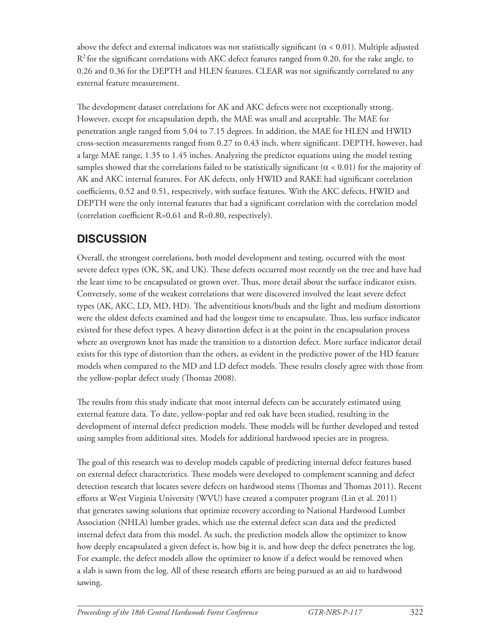above the defect and external indicators was not statistically significant ( $\alpha$  < 0.01). Multiple adjusted  $R<sup>2</sup>$  for the significant correlations with AKC defect features ranged from 0.20, for the rake angle, to 0.26 and 0.36 for the DEPTH and HLEN features. CLEAR was not significantly correlated to any external feature measurement.

The development dataset correlations for AK and AKC defects were not exceptionally strong. However, except for encapsulation depth, the MAE was small and acceptable. The MAE for penetration angle ranged from 5.04 to 7.15 degrees. In addition, the MAE for HLEN and HWID cross-section measurements ranged from 0.27 to 0.43 inch, where significant. DEPTH, however, had a large MAE range, 1.35 to 1.45 inches. Analyzing the predictor equations using the model testing samples showed that the correlations failed to be statistically significant ( $\alpha$  < 0.01) for the majority of AK and AKC internal features. For AK defects, only HWID and RAKE had significant correlation coefficients, 0.52 and 0.51, respectively, with surface features. With the AKC defects, HWID and DEPTH were the only internal features that had a significant correlation with the correlation model (correlation coefficient  $R=0.61$  and  $R=0.80$ , respectively).

## **DISCUSSION**

Overall, the strongest correlations, both model development and testing, occurred with the most severe defect types (OK, SK, and UK). These defects occurred most recently on the tree and have had the least time to be encapsulated or grown over. Thus, more detail about the surface indicator exists. Conversely, some of the weakest correlations that were discovered involved the least severe defect types (AK, AKC, LD, MD, HD). The adventitious knots/buds and the light and medium distortions were the oldest defects examined and had the longest time to encapsulate. Thus, less surface indicator existed for these defect types. A heavy distortion defect is at the point in the encapsulation process where an overgrown knot has made the transition to a distortion defect. More surface indicator detail exists for this type of distortion than the others, as evident in the predictive power of the HD feature models when compared to the MD and LD defect models. These results closely agree with those from the yellow-poplar defect study (Thomas 2008).

The results from this study indicate that most internal defects can be accurately estimated using external feature data. To date, yellow-poplar and red oak have been studied, resulting in the development of internal defect prediction models. These models will be further developed and tested using samples from additional sites. Models for additional hardwood species are in progress.

The goal of this research was to develop models capable of predicting internal defect features based on external defect characteristics. These models were developed to complement scanning and defect detection research that locates severe defects on hardwood stems (Thomas and Thomas 2011). Recent efforts at West Virginia University (WVU) have created a computer program (Lin et al. 2011) that generates sawing solutions that optimize recovery according to National Hardwood Lumber Association (NHLA) lumber grades, which use the external defect scan data and the predicted internal defect data from this model. As such, the prediction models allow the optimizer to know how deeply encapsulated a given defect is, how big it is, and how deep the defect penetrates the log. For example, the defect models allow the optimizer to know if a defect would be removed when a slab is sawn from the log. All of these research efforts are being pursued as an aid to hardwood sawing.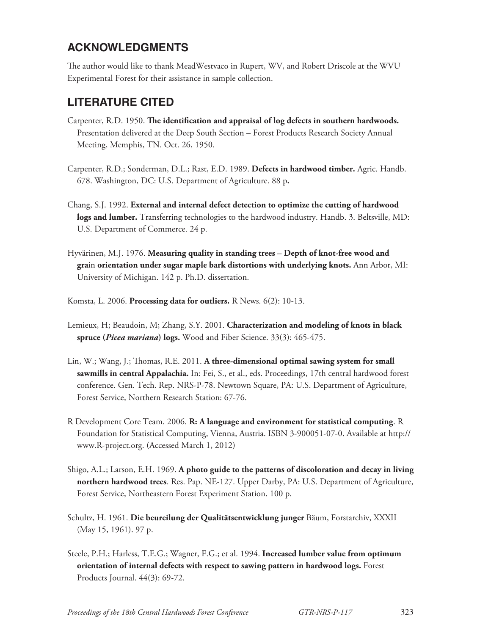#### **ACKNOWLEDGMENTS**

The author would like to thank MeadWestvaco in Rupert, WV, and Robert Driscole at the WVU Experimental Forest for their assistance in sample collection.

## **LITERATURE CITED**

- Carpenter, R.D. 1950. The identification and appraisal of log defects in southern hardwoods. Presentation delivered at the Deep South Section – Forest Products Research Society Annual Meeting, Memphis, TN. Oct. 26, 1950.
- Carpenter, R.D.; Sonderman, D.L.; Rast, E.D. 1989. **Defects in hardwood timber.** Agric. Handb. 678. Washington, DC: U.S. Department of Agriculture. 88 p**.**
- Chang, S.J. 1992. **External and internal defect detection to optimize the cutting of hardwood logs and lumber.** Transferring technologies to the hardwood industry. Handb. 3. Beltsville, MD: U.S. Department of Commerce. 24 p.
- Hyvärinen, M.J. 1976. **Measuring quality in standing trees Depth of knot-free wood and gra**in **orientation under sugar maple bark distortions with underlying knots.** Ann Arbor, MI: University of Michigan. 142 p. Ph.D. dissertation.
- Komsta, L. 2006. **Processing data for outliers.** R News. 6(2): 10-13.
- Lemieux, H; Beaudoin, M; Zhang, S.Y. 2001. **Characterization and modeling of knots in black spruce (***Picea mariana***) logs.** Wood and Fiber Science. 33(3): 465-475.
- Lin, W.; Wang, J.; Thomas, R.E. 2011. A three-dimensional optimal sawing system for small **sawmills in central Appalachia.** In: Fei, S., et al., eds. Proceedings, 17th central hardwood forest conference. Gen. Tech. Rep. NRS-P-78. Newtown Square, PA: U.S. Department of Agriculture, Forest Service, Northern Research Station: 67-76.
- R Development Core Team. 2006. **R: A language and environment for statistical computing**. R Foundation for Statistical Computing, Vienna, Austria. ISBN 3-900051-07-0. Available at http:// www.R-project.org. (Accessed March 1, 2012)
- Shigo, A.L.; Larson, E.H. 1969. **A photo guide to the patterns of discoloration and decay in living northern hardwood trees**. Res. Pap. NE-127. Upper Darby, PA: U.S. Department of Agriculture, Forest Service, Northeastern Forest Experiment Station. 100 p.
- Schultz, H. 1961. **Die beureilung der Qualitätsentwicklung junger** Bäum, Forstarchiv, XXXII (May 15, 1961). 97 p.
- Steele, P.H.; Harless, T.E.G.; Wagner, F.G.; et al. 1994. **Increased lumber value from optimum orientation of internal defects with respect to sawing pattern in hardwood logs.** Forest Products Journal. 44(3): 69-72.